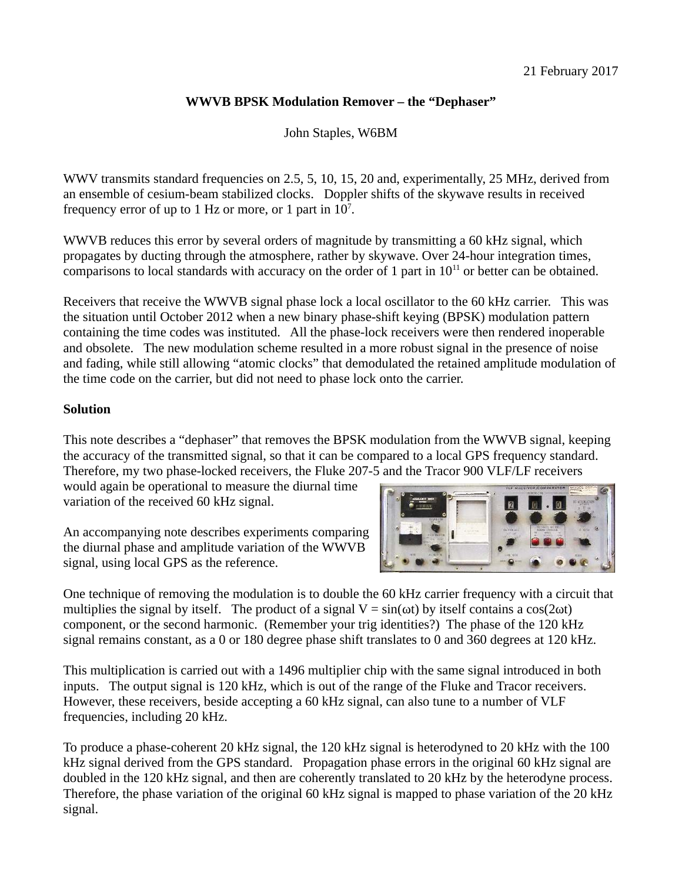## **WWVB BPSK Modulation Remover – the "Dephaser"**

John Staples, W6BM

WWV transmits standard frequencies on 2.5, 5, 10, 15, 20 and, experimentally, 25 MHz, derived from an ensemble of cesium-beam stabilized clocks. Doppler shifts of the skywave results in received frequency error of up to 1 Hz or more, or 1 part in  $10<sup>7</sup>$ .

WWVB reduces this error by several orders of magnitude by transmitting a 60 kHz signal, which propagates by ducting through the atmosphere, rather by skywave. Over 24-hour integration times, comparisons to local standards with accuracy on the order of 1 part in  $10^{11}$  or better can be obtained.

Receivers that receive the WWVB signal phase lock a local oscillator to the 60 kHz carrier. This was the situation until October 2012 when a new binary phase-shift keying (BPSK) modulation pattern containing the time codes was instituted. All the phase-lock receivers were then rendered inoperable and obsolete. The new modulation scheme resulted in a more robust signal in the presence of noise and fading, while still allowing "atomic clocks" that demodulated the retained amplitude modulation of the time code on the carrier, but did not need to phase lock onto the carrier.

## **Solution**

This note describes a "dephaser" that removes the BPSK modulation from the WWVB signal, keeping the accuracy of the transmitted signal, so that it can be compared to a local GPS frequency standard. Therefore, my two phase-locked receivers, the Fluke 207-5 and the Tracor 900 VLF/LF receivers

would again be operational to measure the diurnal time variation of the received 60 kHz signal.

An accompanying note describes experiments comparing the diurnal phase and amplitude variation of the WWVB signal, using local GPS as the reference.



One technique of removing the modulation is to double the 60 kHz carrier frequency with a circuit that multiplies the signal by itself. The product of a signal  $V = sin(\omega t)$  by itself contains a cos(2 $\omega t$ ) component, or the second harmonic. (Remember your trig identities?) The phase of the 120 kHz signal remains constant, as a 0 or 180 degree phase shift translates to 0 and 360 degrees at 120 kHz.

This multiplication is carried out with a 1496 multiplier chip with the same signal introduced in both inputs. The output signal is 120 kHz, which is out of the range of the Fluke and Tracor receivers. However, these receivers, beside accepting a 60 kHz signal, can also tune to a number of VLF frequencies, including 20 kHz.

To produce a phase-coherent 20 kHz signal, the 120 kHz signal is heterodyned to 20 kHz with the 100 kHz signal derived from the GPS standard. Propagation phase errors in the original 60 kHz signal are doubled in the 120 kHz signal, and then are coherently translated to 20 kHz by the heterodyne process. Therefore, the phase variation of the original 60 kHz signal is mapped to phase variation of the 20 kHz signal.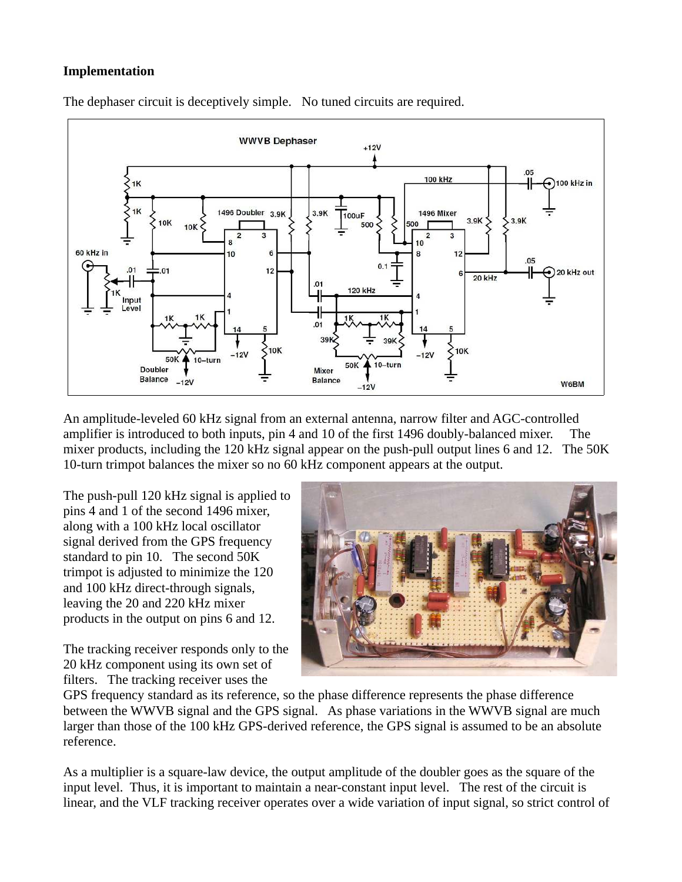## **Implementation**



The dephaser circuit is deceptively simple. No tuned circuits are required.

An amplitude-leveled 60 kHz signal from an external antenna, narrow filter and AGC-controlled amplifier is introduced to both inputs, pin 4 and 10 of the first 1496 doubly-balanced mixer. The mixer products, including the 120 kHz signal appear on the push-pull output lines 6 and 12. The 50K 10-turn trimpot balances the mixer so no 60 kHz component appears at the output.

The push-pull 120 kHz signal is applied to pins 4 and 1 of the second 1496 mixer, along with a 100 kHz local oscillator signal derived from the GPS frequency standard to pin 10. The second 50K trimpot is adjusted to minimize the 120 and 100 kHz direct-through signals, leaving the 20 and 220 kHz mixer products in the output on pins 6 and 12.

The tracking receiver responds only to the 20 kHz component using its own set of filters. The tracking receiver uses the



GPS frequency standard as its reference, so the phase difference represents the phase difference between the WWVB signal and the GPS signal. As phase variations in the WWVB signal are much larger than those of the 100 kHz GPS-derived reference, the GPS signal is assumed to be an absolute reference.

As a multiplier is a square-law device, the output amplitude of the doubler goes as the square of the input level. Thus, it is important to maintain a near-constant input level. The rest of the circuit is linear, and the VLF tracking receiver operates over a wide variation of input signal, so strict control of